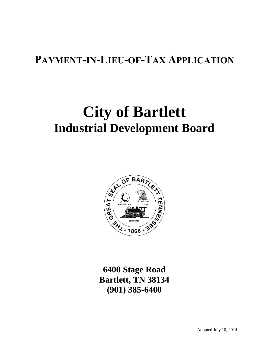# **PAYMENT-IN-LIEU-OF-TAX APPLICATION**

# **City of Bartlett Industrial Development Board**



**6400 Stage Road Bartlett, TN 38134 (901) 385-6400**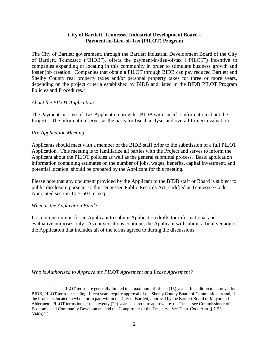#### **City of Bartlett, Tennessee Industrial Development Board - Payment-in-Lieu-of-Tax (PILOT) Program**

The City of Bartlett government, through the Bartlett Industrial Development Board of the City of Bartlett, Tennessee ("BIDB"), offers the payment-in-lieu-of-tax ("PILOT") incentive to companies expanding or locating in this community in order to stimulate business growth and foster job creation. Companies that obtain a PILOT through BIDB can pay reduced Bartlett and Shelby County real property taxes and/or personal property taxes for three or more years, depending on the project criteria established by BIDB and listed in the BIDB PILOT Program Policies and Procedures.<sup>1</sup>

#### *About the PILOT Application*

The Payment-in-Lieu-of-Tax Application provides BIDB with specific information about the Project. The information serves as the basis for fiscal analysis and overall Project evaluation.

#### *Pre-Application Meeting*

Applicants should meet with a member of the BIDB staff prior to the submission of a full PILOT Application. This meeting is to familiarize all parties with the Project and serves to inform the Applicant about the PILOT policies as well as the general submittal process. Basic application information containing estimates on the number of jobs, wages, benefits, capital investment, and potential location, should be prepared by the Applicant for this meeting.

Please note that any document provided by the Applicant to the BIDB staff or Board is subject to public disclosure pursuant to the Tennessee Public Records Act, codified at Tennessee Code Annotated section 10-7-503, et seq.

# *When is the Application Final?*

 $\overline{a}$ 

It is not uncommon for an Applicant to submit Application drafts for informational and evaluative purposes only. As conversations continue, the Applicant will submit a final version of the Application that includes all of the terms agreed to during the discussions.

*Who is Authorized to Approve the PILOT Agreement and Lease Agreement?*

<sup>1</sup> PILOT terms are generally limited to a maximum of fifteen (15) years. In addition to approval by BIDB, PILOT terms exceeding fifteen years require approval of the Shelby County Board of Commissioners and, if the Project is located in whole or in part within the City of Bartlett, approval by the Bartlett Board of Mayor and Aldermen. PILOT terms longer than twenty (20) years also require approval by the Tennessee Commissioner of Economic and Community Development and the Comptroller of the Treasury. See Tenn. Code Ann. § 7-53-  $304(b)(1)$ .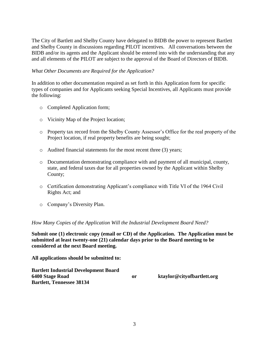The City of Bartlett and Shelby County have delegated to BIDB the power to represent Bartlett and Shelby County in discussions regarding PILOT incentives. All conversations between the BIDB and/or its agents and the Applicant should be entered into with the understanding that any and all elements of the PILOT are subject to the approval of the Board of Directors of BIDB.

#### *What Other Documents are Required for the Application?*

In addition to other documentation required as set forth in this Application form for specific types of companies and for Applicants seeking Special Incentives, all Applicants must provide the following:

- o Completed Application form;
- o Vicinity Map of the Project location;
- o Property tax record from the Shelby County Assessor's Office for the real property of the Project location, if real property benefits are being sought;
- o Audited financial statements for the most recent three (3) years;
- o Documentation demonstrating compliance with and payment of all municipal, county, state, and federal taxes due for all properties owned by the Applicant within Shelby County;
- o Certification demonstrating Applicant's compliance with Title VI of the 1964 Civil Rights Act; and
- o Company's Diversity Plan.

#### *How Many Copies of the Application Will the Industrial Development Board Need?*

**Submit one (1) electronic copy (email or CD) of the Application. The Application must be submitted at least twenty-one (21) calendar days prior to the Board meeting to be considered at the next Board meeting.** 

**All applications should be submitted to:**

**Bartlett Industrial Development Board 6400 Stage Road or ktaylor@cityofbartlett.org Bartlett, Tennessee 38134**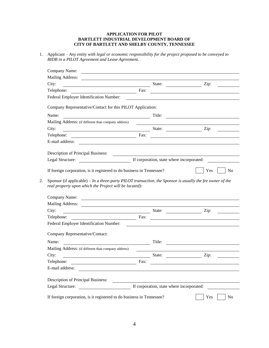#### **APPLICATION FOR PILOT BARTLETT INDUSTRIAL DEVELOPMENT BOARD OF CITY OF BARTLETT AND SHELBY COUNTY, TENNESSEE**

1. Applicant – *Any entity with legal or economic responsibility for the project proposed to be conveyed to BIDB in a PILOT Agreement and Lease Agreement*.

| Company Name:                                                                                                                                                                                                                                  |        |                                                            |
|------------------------------------------------------------------------------------------------------------------------------------------------------------------------------------------------------------------------------------------------|--------|------------------------------------------------------------|
| <b>Mailing Address:</b>                                                                                                                                                                                                                        |        |                                                            |
| State: <u>Zip:</u><br>City:                                                                                                                                                                                                                    |        |                                                            |
| Telephone: Fax:                                                                                                                                                                                                                                |        |                                                            |
| Federal Employer Identification Number:                                                                                                                                                                                                        |        |                                                            |
| Company Representative/Contact for this PILOT Application:                                                                                                                                                                                     |        |                                                            |
| Name:<br><u> 1989 - Johann Barbara, martin amerikan basal da</u>                                                                                                                                                                               | Title: | <u> 1989 - Johann Barn, amerikansk politiker (d. 1989)</u> |
| Mailing Address: (if different than company address)                                                                                                                                                                                           |        |                                                            |
| State: <u>Tip:</u> Zip:<br>City:                                                                                                                                                                                                               |        |                                                            |
| Telephone:                                                                                                                                                                                                                                     | Fax:   | <u> 1980 - Johann Barbara, martxa alemaniar arg</u>        |
|                                                                                                                                                                                                                                                |        |                                                            |
| Description of Principal Business:                                                                                                                                                                                                             |        |                                                            |
|                                                                                                                                                                                                                                                |        |                                                            |
| If foreign corporation, is it registered to do business in Tennessee?<br>Sponsor (if applicable) $-$ In a three-party PILOT transaction, the Sponsor is usually the fee owner of the<br>real property upon which the Project will be located): |        | Yes<br>No                                                  |
|                                                                                                                                                                                                                                                |        |                                                            |
| Company Name:<br><u> 1980 - Johann Barn, fransk politik (d. 1980)</u>                                                                                                                                                                          |        |                                                            |
|                                                                                                                                                                                                                                                |        |                                                            |
| State: <u>Zip:</u><br>City:                                                                                                                                                                                                                    |        |                                                            |
| Telephone: Fax:<br>Federal Employer Identification Number:                                                                                                                                                                                     |        | <u> 1989 - Johann Stein, fransk politiker (d. 1989)</u>    |
| Company Representative/Contact:                                                                                                                                                                                                                |        |                                                            |
| Name:                                                                                                                                                                                                                                          | Title: |                                                            |
| <u> 1989 - Johann Barnett, fransk politiker (</u><br>Mailing Address: (if different than company address)                                                                                                                                      |        |                                                            |
| City:                                                                                                                                                                                                                                          | State: | Zip:                                                       |
| <u>and the contract of the contract of the contract of the contract of the contract of the contract of the contract of the contract of the contract of the contract of the contract of the contract of the contract of the contr</u>           | Fax:   |                                                            |
| Telephone:<br>E-mail address:                                                                                                                                                                                                                  |        |                                                            |
| Description of Principal Business:                                                                                                                                                                                                             |        |                                                            |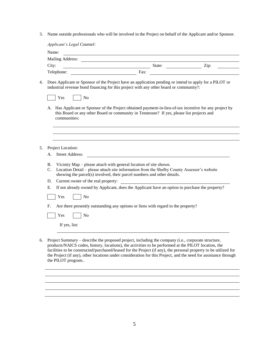3. Name outside professionals who will be involved in the Project on behalf of the Applicant and/or Sponsor.

| City:                             |                                     | State:<br><u> 2000 - Andrea Andrew Maria (h. 18</u>                                                                                                                                                                                                                                                                                                                                                                                               | Zip: |
|-----------------------------------|-------------------------------------|---------------------------------------------------------------------------------------------------------------------------------------------------------------------------------------------------------------------------------------------------------------------------------------------------------------------------------------------------------------------------------------------------------------------------------------------------|------|
| Telephone:                        |                                     | Fax:                                                                                                                                                                                                                                                                                                                                                                                                                                              |      |
|                                   |                                     | Does Applicant or Sponsor of the Project have an application pending or intend to apply for a PILOT or<br>industrial revenue bond financing for this project with any other board or community?:                                                                                                                                                                                                                                                  |      |
| Yes                               | N <sub>o</sub>                      |                                                                                                                                                                                                                                                                                                                                                                                                                                                   |      |
|                                   | communities:                        | A. Has Applicant or Sponsor of the Project obtained payment-in-lieu-of-tax incentive for any project by<br>this Board or any other Board or community in Tennessee? If yes, please list projects and                                                                                                                                                                                                                                              |      |
| Project Location:                 |                                     |                                                                                                                                                                                                                                                                                                                                                                                                                                                   |      |
| А.                                | <b>Street Address:</b>              |                                                                                                                                                                                                                                                                                                                                                                                                                                                   |      |
| В.<br>$\mathcal{C}$ .<br>D.<br>Е. | Current owner of the real property: | Vicinity Map – please attach with general location of site shown.<br>Location Detail - please attach site information from the Shelby County Assessor's website<br>showing the parcel(s) involved, their parcel numbers and other details.<br><u> 1989 - Johann Stein, mars an t-Amerikaansk kommunist (</u><br>If not already owned by Applicant, does the Applicant have an option to purchase the property?                                    |      |
| Yes                               | No                                  |                                                                                                                                                                                                                                                                                                                                                                                                                                                   |      |
| F.<br>Yes                         | N <sub>0</sub><br>If yes, list:     | Are there presently outstanding any options or liens with regard to the property?                                                                                                                                                                                                                                                                                                                                                                 |      |
|                                   | the PILOT program                   | Project Summary – describe the proposed project, including the company (i.e., corporate structure,<br>products/NAICS codes, history, locations), the activities to be performed at the PILOT location, the<br>facilities to be constructed/purchased/leased for the Project (if any), the personal property to be utilized for<br>the Project (if any), other locations under consideration for this Project, and the need for assistance through |      |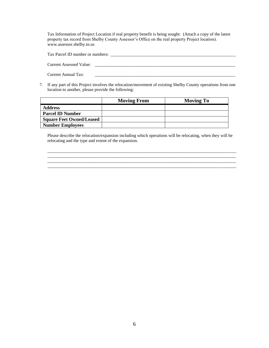Tax Information of Project Location if real property benefit is being sought: (Attach a copy of the latest property tax record from Shelby County Assessor's Office on the real property Project location). www.assessor.shelby.tn.us

| Tax Parcel ID number or numbers: |  |
|----------------------------------|--|
|                                  |  |
| <b>Current Assessed Value:</b>   |  |
|                                  |  |
| Current Annual Tax:              |  |
|                                  |  |

7. If any part of this Project involves the relocation/movement of existing Shelby County operations from one location to another, please provide the following:

|                                 | <b>Moving From</b> | <b>Moving To</b> |
|---------------------------------|--------------------|------------------|
| <b>Address</b>                  |                    |                  |
| <b>Parcel ID Number</b>         |                    |                  |
| <b>Square Feet Owned/Leased</b> |                    |                  |
| <b>Number Employees</b>         |                    |                  |

Please describe the relocation/expansion including which operations will be relocating, when they will be relocating and the type and extent of the expansion.

\_\_\_\_\_\_\_\_\_\_\_\_\_\_\_\_\_\_\_\_\_\_\_\_\_\_\_\_\_\_\_\_\_\_\_\_\_\_\_\_\_\_\_\_\_\_\_\_\_\_\_\_\_\_\_\_\_\_\_\_\_\_\_\_\_\_\_\_\_\_\_\_\_\_\_\_\_\_\_\_\_\_\_\_\_\_  $\overline{\phantom{a}}$  ,  $\overline{\phantom{a}}$  ,  $\overline{\phantom{a}}$  ,  $\overline{\phantom{a}}$  ,  $\overline{\phantom{a}}$  ,  $\overline{\phantom{a}}$  ,  $\overline{\phantom{a}}$  ,  $\overline{\phantom{a}}$  ,  $\overline{\phantom{a}}$  ,  $\overline{\phantom{a}}$  ,  $\overline{\phantom{a}}$  ,  $\overline{\phantom{a}}$  ,  $\overline{\phantom{a}}$  ,  $\overline{\phantom{a}}$  ,  $\overline{\phantom{a}}$  ,  $\overline{\phantom{a}}$ \_\_\_\_\_\_\_\_\_\_\_\_\_\_\_\_\_\_\_\_\_\_\_\_\_\_\_\_\_\_\_\_\_\_\_\_\_\_\_\_\_\_\_\_\_\_\_\_\_\_\_\_\_\_\_\_\_\_\_\_\_\_\_\_\_\_\_\_\_\_\_\_\_\_\_\_\_\_\_\_\_\_\_\_\_\_ \_\_\_\_\_\_\_\_\_\_\_\_\_\_\_\_\_\_\_\_\_\_\_\_\_\_\_\_\_\_\_\_\_\_\_\_\_\_\_\_\_\_\_\_\_\_\_\_\_\_\_\_\_\_\_\_\_\_\_\_\_\_\_\_\_\_\_\_\_\_\_\_\_\_\_\_\_\_\_\_\_\_\_\_\_\_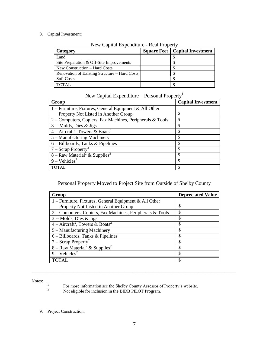8. Capital Investment:

| Category                                      | <b>Square Feet   Capital Investment</b> |
|-----------------------------------------------|-----------------------------------------|
| Land                                          |                                         |
| Site Preparation & Off-Site Improvements      |                                         |
| New Construction – Hard Costs                 |                                         |
| Renovation of Existing Structure – Hard Costs |                                         |
| <b>Soft Costs</b>                             |                                         |
| <b>TOTAL</b>                                  |                                         |

New Capital Expenditure - Real Property

# New Capital Expenditure – Personal Property<sup>1</sup>

| Group                                                           | <b>Capital Investment</b> |
|-----------------------------------------------------------------|---------------------------|
| 1 – Furniture, Fixtures, General Equipment & All Other          |                           |
| Property Not Listed in Another Group                            | \$                        |
| 2 – Computers, Copiers, Fax Machines, Peripherals & Tools       | <sup>\$</sup>             |
| 3 -- Molds, Dies & Jigs                                         | S                         |
| $\overline{4 - \text{Aircuit}^2}$ , Towers & Boats <sup>2</sup> | \$                        |
| 5 – Manufacturing Machinery                                     | \$                        |
| $6 - Bilboards$ , Tanks & Pipelines                             | S                         |
| $7 -$ Scrap Property <sup>2</sup>                               | \$                        |
| 8 – Raw Material <sup>2</sup> & Supplies <sup>2</sup>           | S                         |
| $9 - Vehicles2$                                                 | S                         |
| <b>TOTAL</b>                                                    | S                         |

Personal Property Moved to Project Site from Outside of Shelby County

| Group                                                     | <b>Depreciated Value</b> |
|-----------------------------------------------------------|--------------------------|
| 1 – Furniture, Fixtures, General Equipment & All Other    |                          |
| Property Not Listed in Another Group                      | S                        |
| 2 – Computers, Copiers, Fax Machines, Peripherals & Tools | \$.                      |
| 3 -- Molds, Dies & Jigs                                   | S                        |
| $4 -$ Aircraft <sup>2</sup> , Towers & Boats <sup>2</sup> | S                        |
| 5 – Manufacturing Machinery                               | \$                       |
| $6 - Bilboards$ , Tanks & Pipelines                       | S                        |
| $7 -$ Scrap Property <sup>2</sup>                         | S                        |
| 8 – Raw Material <sup>2</sup> & Supplies <sup>2</sup>     | S                        |
| $9 - Vehicles2$                                           | S                        |
| <b>TOTAL</b>                                              |                          |

Notes:

1

 $\_$  ,  $\_$  ,  $\_$  ,  $\_$  ,  $\_$  ,  $\_$  ,  $\_$  ,  $\_$  ,  $\_$  ,  $\_$  ,  $\_$  ,  $\_$  ,  $\_$  ,  $\_$  ,  $\_$  ,  $\_$  ,  $\_$  ,  $\_$  ,  $\_$  ,  $\_$  ,  $\_$  ,  $\_$  ,  $\_$  ,  $\_$  ,  $\_$  ,  $\_$  ,  $\_$  ,  $\_$  ,  $\_$  ,  $\_$  ,  $\_$  ,  $\_$  ,  $\_$  ,  $\_$  ,  $\_$  ,  $\_$  ,  $\_$  ,

<sup>2</sup> Not eligible for inclusion in the BIDB PILOT Program.

9. Project Construction:

For more information see the Shelby County Assessor of Property's website.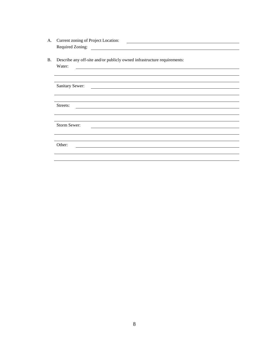| А. | Current zoning of Project Location: |  |
|----|-------------------------------------|--|
|    | Required Zoning:                    |  |

B. Describe any off-site and/or publicly owned infrastructure requirements:

| Water:          |
|-----------------|
|                 |
|                 |
| Sanitary Sewer: |
|                 |
|                 |
| Streets:        |
|                 |
|                 |
| Storm Sewer:    |
|                 |
|                 |
| Other:          |
|                 |
|                 |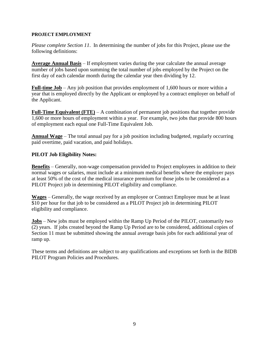#### **PROJECT EMPLOYMENT**

*Please complete Section 11*. In determining the number of jobs for this Project, please use the following definitions:

**Average Annual Basis** – If employment varies during the year calculate the annual average number of jobs based upon summing the total number of jobs employed by the Project on the first day of each calendar month during the calendar year then dividing by 12.

**Full-time Job** – Any job position that provides employment of 1,600 hours or more within a year that is employed directly by the Applicant or employed by a contract employer on behalf of the Applicant.

**Full-Time Equivalent (FTE)** – A combination of permanent job positions that together provide 1,600 or more hours of employment within a year. For example, two jobs that provide 800 hours of employment each equal one Full-Time Equivalent Job.

**Annual Wage** – The total annual pay for a job position including budgeted, regularly occurring paid overtime, paid vacation, and paid holidays.

# **PILOT Job Eligibility Notes:**

**Benefits** – Generally, non-wage compensation provided to Project employees in addition to their normal wages or salaries, must include at a minimum medical benefits where the employer pays at least 50% of the cost of the medical insurance premium for those jobs to be considered as a PILOT Project job in determining PILOT eligibility and compliance.

**Wages** – Generally, the wage received by an employee or Contract Employee must be at least \$10 per hour for that job to be considered as a PILOT Project job in determining PILOT eligibility and compliance.

**Jobs** – New jobs must be employed within the Ramp Up Period of the PILOT, customarily two (2) years. If jobs created beyond the Ramp Up Period are to be considered, additional copies of Section 11 must be submitted showing the annual average basis jobs for each additional year of ramp up.

These terms and definitions are subject to any qualifications and exceptions set forth in the BIDB PILOT Program Policies and Procedures.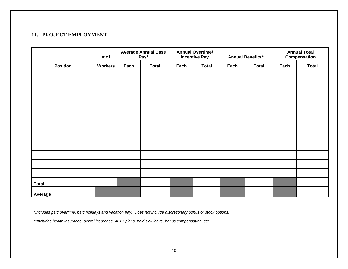# **11. PROJECT EMPLOYMENT**

|                 | <b>Average Annual Base</b><br><b>Annual Overtime/</b><br>Pay*<br># of<br><b>Incentive Pay</b> |      |              |      | <b>Annual Benefits**</b> | <b>Annual Total</b><br>Compensation |              |      |              |
|-----------------|-----------------------------------------------------------------------------------------------|------|--------------|------|--------------------------|-------------------------------------|--------------|------|--------------|
| <b>Position</b> | <b>Workers</b>                                                                                | Each | <b>Total</b> | Each | <b>Total</b>             | Each                                | <b>Total</b> | Each | <b>Total</b> |
|                 |                                                                                               |      |              |      |                          |                                     |              |      |              |
|                 |                                                                                               |      |              |      |                          |                                     |              |      |              |
|                 |                                                                                               |      |              |      |                          |                                     |              |      |              |
|                 |                                                                                               |      |              |      |                          |                                     |              |      |              |
|                 |                                                                                               |      |              |      |                          |                                     |              |      |              |
|                 |                                                                                               |      |              |      |                          |                                     |              |      |              |
|                 |                                                                                               |      |              |      |                          |                                     |              |      |              |
|                 |                                                                                               |      |              |      |                          |                                     |              |      |              |
|                 |                                                                                               |      |              |      |                          |                                     |              |      |              |
|                 |                                                                                               |      |              |      |                          |                                     |              |      |              |
|                 |                                                                                               |      |              |      |                          |                                     |              |      |              |
|                 |                                                                                               |      |              |      |                          |                                     |              |      |              |
|                 |                                                                                               |      |              |      |                          |                                     |              |      |              |
| <b>Total</b>    |                                                                                               |      |              |      |                          |                                     |              |      |              |
| Average         |                                                                                               |      |              |      |                          |                                     |              |      |              |

*\*Includes paid overtime, paid holidays and vacation pay. Does not include discretionary bonus or stock options.*

*\*\*Includes health insurance, dental insurance, 401K plans, paid sick leave, bonus compensation, etc.*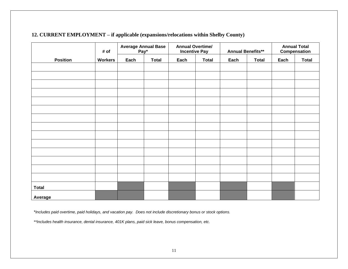# **12. CURRENT EMPLOYMENT – if applicable (expansions/relocations within Shelby County)**

|                 | # of           | <b>Average Annual Base</b><br>Pay* |              | <b>Annual Overtime/</b><br><b>Incentive Pay</b> |              | <b>Annual Benefits**</b> |              | <b>Annual Total</b><br>Compensation |              |
|-----------------|----------------|------------------------------------|--------------|-------------------------------------------------|--------------|--------------------------|--------------|-------------------------------------|--------------|
| <b>Position</b> | <b>Workers</b> | Each                               | <b>Total</b> | Each                                            | <b>Total</b> | Each                     | <b>Total</b> | Each                                | <b>Total</b> |
|                 |                |                                    |              |                                                 |              |                          |              |                                     |              |
|                 |                |                                    |              |                                                 |              |                          |              |                                     |              |
|                 |                |                                    |              |                                                 |              |                          |              |                                     |              |
|                 |                |                                    |              |                                                 |              |                          |              |                                     |              |
|                 |                |                                    |              |                                                 |              |                          |              |                                     |              |
|                 |                |                                    |              |                                                 |              |                          |              |                                     |              |
|                 |                |                                    |              |                                                 |              |                          |              |                                     |              |
|                 |                |                                    |              |                                                 |              |                          |              |                                     |              |
|                 |                |                                    |              |                                                 |              |                          |              |                                     |              |
|                 |                |                                    |              |                                                 |              |                          |              |                                     |              |
|                 |                |                                    |              |                                                 |              |                          |              |                                     |              |
|                 |                |                                    |              |                                                 |              |                          |              |                                     |              |
|                 |                |                                    |              |                                                 |              |                          |              |                                     |              |
|                 |                |                                    |              |                                                 |              |                          |              |                                     |              |
|                 |                |                                    |              |                                                 |              |                          |              |                                     |              |
| <b>Total</b>    |                |                                    |              |                                                 |              |                          |              |                                     |              |
| Average         |                |                                    |              |                                                 |              |                          |              |                                     |              |

*\*Includes paid overtime, paid holidays, and vacation pay. Does not include discretionary bonus or stock options.*

*\*\*Includes health insurance, dental insurance, 401K plans, paid sick leave, bonus compensation, etc.*